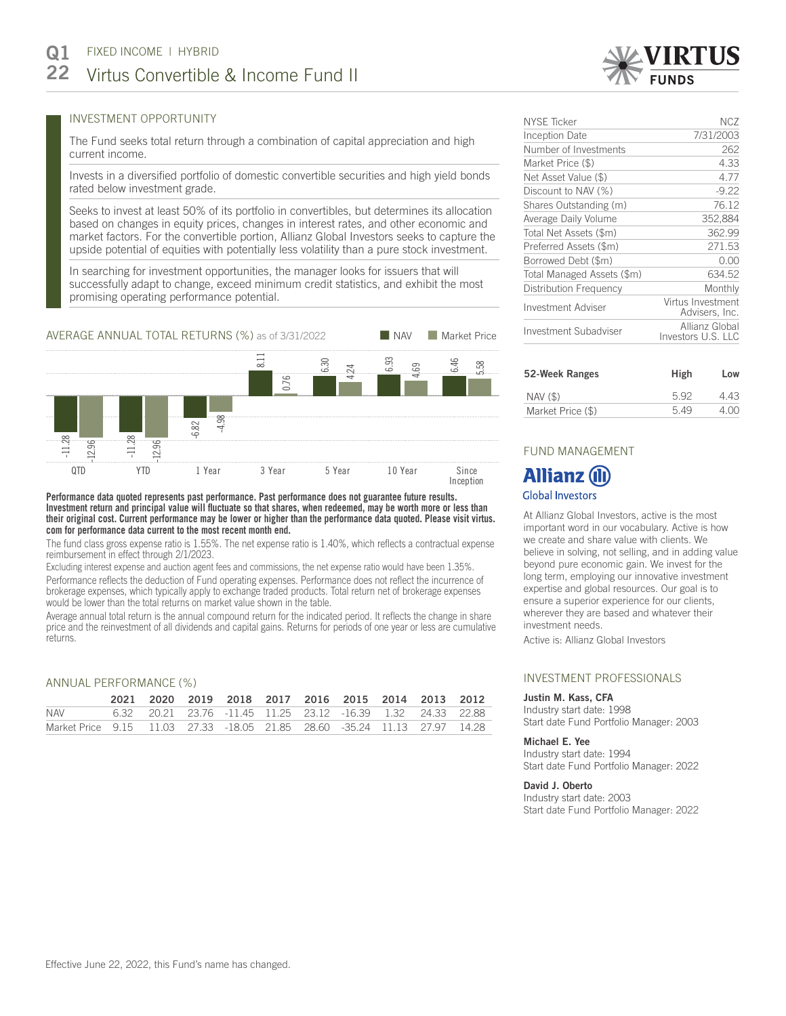# INVESTMENT OPPORTUNITY

The Fund seeks total return through a combination of capital appreciation and high current income.

Invests in a diversified portfolio of domestic convertible securities and high yield bonds rated below investment grade.

Seeks to invest at least 50% of its portfolio in convertibles, but determines its allocation based on changes in equity prices, changes in interest rates, and other economic and market factors. For the convertible portion, Allianz Global Investors seeks to capture the upside potential of equities with potentially less volatility than a pure stock investment.

In searching for investment opportunities, the manager looks for issuers that will successfully adapt to change, exceed minimum credit statistics, and exhibit the most promising operating performance potential.



**Performance data quoted represents past performance. Past performance does not guarantee future results. Investment return and principal value will fluctuate so that shares, when redeemed, may be worth more or less than their original cost. Current performance may be lower or higher than the performance data quoted. Please visit virtus. com for performance data current to the most recent month end.**

The fund class gross expense ratio is 1.55%. The net expense ratio is 1.40%, which reflects a contractual expense reimbursement in effect through 2/1/2023.

Excluding interest expense and auction agent fees and commissions, the net expense ratio would have been 1.35%. Performance reflects the deduction of Fund operating expenses. Performance does not reflect the incurrence of brokerage expenses, which typically apply to exchange traded products. Total return net of brokerage expenses would be lower than the total returns on market value shown in the table.

Average annual total return is the annual compound return for the indicated period. It reflects the change in share price and the reinvestment of all dividends and capital gains. Returns for periods of one year or less are cumulative returns.

### ANNUAL PERFORMANCE (%)

|                                                                           |  |  |  | 2021 2020 2019 2018 2017 2016 2015 2014 2013 2012           |  |  |
|---------------------------------------------------------------------------|--|--|--|-------------------------------------------------------------|--|--|
| NAV                                                                       |  |  |  | 6.32 20.21 23.76 -11.45 11.25 23.12 -16.39 1.32 24.33 22.88 |  |  |
| Market Price 9.15 11.03 27.33 -18.05 21.85 28.60 -35.24 11.13 27.97 14.28 |  |  |  |                                                             |  |  |

# NYSE Ticker NCZ Inception Date 7/31/2003 Number of Investments 262 Market Price (\$) 4.33 Net Asset Value (\$) 4.77 Discount to NAV (%) 49.22 Shares Outstanding (m) 76.12 Average Daily Volume 352,884 Total Net Assets (\$m) 362.99 Preferred Assets (\$m) 271.53 Borrowed Debt (\$m) 0.00 Total Managed Assets (\$m) 634.52 Distribution Frequency Monthly Investment Adviser Virtus Investment Advisers, Inc. Investment Subadviser Allianz Global Investors U.S. LLC

| 52-Week Ranges    | High | Low   |
|-------------------|------|-------|
| NAV (\$)          | 592  | 4 4 3 |
| Market Price (\$) | 5.49 | 4.00  |

# FUND MANAGEMENT

# **Allianz (il) Global Investors**

At Allianz Global Investors, active is the most important word in our vocabulary. Active is how we create and share value with clients. We believe in solving, not selling, and in adding value beyond pure economic gain. We invest for the long term, employing our innovative investment expertise and global resources. Our goal is to ensure a superior experience for our clients, wherever they are based and whatever their investment needs.

Active is: Allianz Global Investors

## INVESTMENT PROFESSIONALS

#### Justin M. Kass, CFA

Industry start date: 1998 Start date Fund Portfolio Manager: 2003

#### Michael E. Yee

Industry start date: 1994 Start date Fund Portfolio Manager: 2022

### David J. Oberto

Industry start date: 2003 Start date Fund Portfolio Manager: 2022